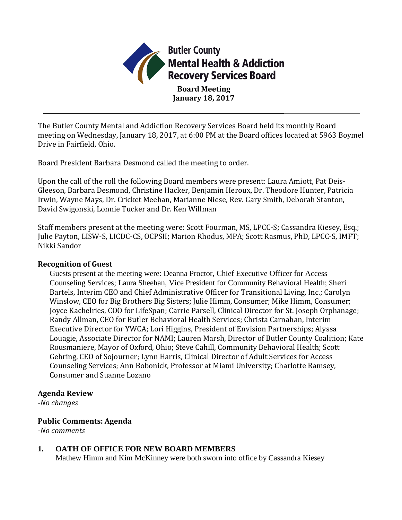

The Butler County Mental and Addiction Recovery Services Board held its monthly Board meeting on Wednesday, January 18, 2017, at 6:00 PM at the Board offices located at 5963 Boymel Drive in Fairfield, Ohio.

Board President Barbara Desmond called the meeting to order.

Upon the call of the roll the following Board members were present: Laura Amiott, Pat Deis-Gleeson, Barbara Desmond, Christine Hacker, Benjamin Heroux, Dr. Theodore Hunter, Patricia Irwin, Wayne Mays, Dr. Cricket Meehan, Marianne Niese, Rev. Gary Smith, Deborah Stanton, David Swigonski, Lonnie Tucker and Dr. Ken Willman

Staff members present at the meeting were: Scott Fourman, MS, LPCC-S; Cassandra Kiesey, Esq.; Julie Payton, LISW-S, LICDC-CS, OCPSII; Marion Rhodus, MPA; Scott Rasmus, PhD, LPCC-S, IMFT; Nikki Sandor

### **Recognition of Guest**

Guests present at the meeting were: Deanna Proctor, Chief Executive Officer for Access Counseling Services; Laura Sheehan, Vice President for Community Behavioral Health; Sheri Bartels, Interim CEO and Chief Administrative Officer for Transitional Living, Inc.; Carolyn Winslow, CEO for Big Brothers Big Sisters; Julie Himm, Consumer; Mike Himm, Consumer; Joyce Kachelries, COO for LifeSpan; Carrie Parsell, Clinical Director for St. Joseph Orphanage; Randy Allman, CEO for Butler Behavioral Health Services; Christa Carnahan, Interim Executive Director for YWCA; Lori Higgins, President of Envision Partnerships; Alyssa Louagie, Associate Director for NAMI; Lauren Marsh, Director of Butler County Coalition; Kate Rousmaniere, Mayor of Oxford, Ohio; Steve Cahill, Community Behavioral Health; Scott Gehring, CEO of Sojourner; Lynn Harris, Clinical Director of Adult Services for Access Counseling Services; Ann Bobonick, Professor at Miami University; Charlotte Ramsey, Consumer and Suanne Lozano

## **Agenda Review**

*-No changes*

## **Public Comments: Agenda**

*-No comments*

## **1. OATH OF OFFICE FOR NEW BOARD MEMBERS**

Mathew Himm and Kim McKinney were both sworn into office by Cassandra Kiesey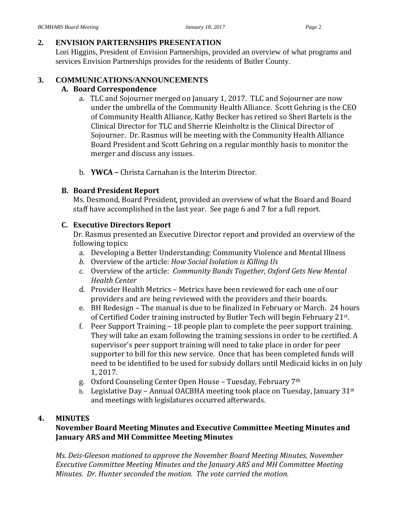# **2. ENVISION PARTERNSHIPS PRESENTATION**

Lori Higgins, President of Envision Partnerships, provided an overview of what programs and services Envision Partnerships provides for the residents of Butler County.

# **3. COMMUNICATIONS/ANNOUNCEMENTS**

# **A. Board Correspondence**

- a. TLC and Sojourner merged on January 1, 2017. TLC and Sojourner are now under the umbrella of the Community Health Alliance. Scott Gehring is the CEO of Community Health Alliance, Kathy Becker has retired so Sheri Bartels is the Clinical Director for TLC and Sherrie Kleinholtz is the Clinical Director of Sojourner. Dr. Rasmus will be meeting with the Community Health Alliance Board President and Scott Gehring on a regular monthly basis to monitor the merger and discuss any issues.
- b. **YWCA –** Christa Carnahan is the Interim Director.

## **B. Board President Report**

Ms. Desmond, Board President, provided an overview of what the Board and Board staff have accomplished in the last year. See page 6 and 7 for a full report.

## **C. Executive Directors Report**

Dr. Rasmus presented an Executive Director report and provided an overview of the following topics:

- a. Developing a Better Understanding: Community Violence and Mental Illness
- *b.* Overview of the article: *How Social Isolation is Killing Us*
- *c.* Overview of the article: *Community Bands Together, Oxford Gets New Mental Health Center*
- d. Provider Health Metrics Metrics have been reviewed for each one of our providers and are being reviewed with the providers and their boards.
- e. BH Redesign The manual is due to be finalized in February or March. 24 hours of Certified Coder training instructed by Butler Tech will begin February 21st.
- f. Peer Support Training 18 people plan to complete the peer support training. They will take an exam following the training sessions in order to be certified. A supervisor's peer support training will need to take place in order for peer supporter to bill for this new service. Once that has been completed funds will need to be identified to be used for subsidy dollars until Medicaid kicks in on July 1, 2017.
- g. Oxford Counseling Center Open House Tuesday, February 7th
- h. Legislative Day Annual OACBHA meeting took place on Tuesday, January 31st and meetings with legislatures occurred afterwards.

# **4. MINUTES**

# **November Board Meeting Minutes and Executive Committee Meeting Minutes and January ARS and MH Committee Meeting Minutes**

*Ms. Deis-Gleeson motioned to approve the November Board Meeting Minutes, November Executive Committee Meeting Minutes and the January ARS and MH Committee Meeting Minutes. Dr. Hunter seconded the motion. The vote carried the motion.*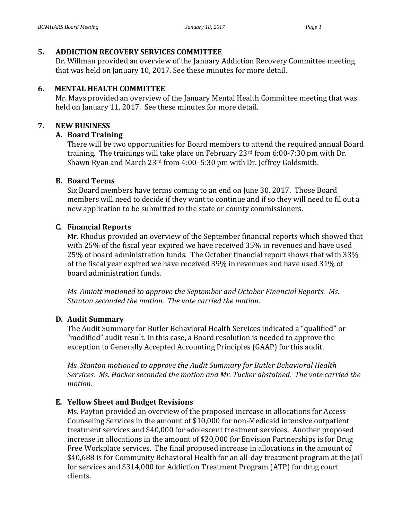## **5. ADDICTION RECOVERY SERVICES COMMITTEE**

Dr. Willman provided an overview of the January Addiction Recovery Committee meeting that was held on January 10, 2017. See these minutes for more detail.

### **6. MENTAL HEALTH COMMITTEE**

Mr. Mays provided an overview of the January Mental Health Committee meeting that was held on January 11, 2017. See these minutes for more detail.

## **7. NEW BUSINESS**

## **A. Board Training**

There will be two opportunities for Board members to attend the required annual Board training. The trainings will take place on February 23rd from 6:00-7:30 pm with Dr. Shawn Ryan and March 23rd from 4:00–5:30 pm with Dr. Jeffrey Goldsmith.

#### **B. Board Terms**

Six Board members have terms coming to an end on June 30, 2017. Those Board members will need to decide if they want to continue and if so they will need to fil out a new application to be submitted to the state or county commissioners.

## **C. Financial Reports**

Mr. Rhodus provided an overview of the September financial reports which showed that with 25% of the fiscal year expired we have received 35% in revenues and have used 25% of board administration funds. The October financial report shows that with 33% of the fiscal year expired we have received 39% in revenues and have used 31% of board administration funds.

*Ms. Amiott motioned to approve the September and October Financial Reports. Ms. Stanton seconded the motion. The vote carried the motion.*

## **D. Audit Summary**

The Audit Summary for Butler Behavioral Health Services indicated a "qualified" or "modified" audit result. In this case, a Board resolution is needed to approve the exception to Generally Accepted Accounting Principles (GAAP) for this audit.

*Ms. Stanton motioned to approve the Audit Summary for Butler Behavioral Health Services. Ms. Hacker seconded the motion and Mr. Tucker abstained. The vote carried the motion.*

## **E. Yellow Sheet and Budget Revisions**

Ms. Payton provided an overview of the proposed increase in allocations for Access Counseling Services in the amount of \$10,000 for non-Medicaid intensive outpatient treatment services and \$40,000 for adolescent treatment services. Another proposed increase in allocations in the amount of \$20,000 for Envision Partnerships is for Drug Free Workplace services. The final proposed increase in allocations in the amount of \$40,688 is for Community Behavioral Health for an all-day treatment program at the jail for services and \$314,000 for Addiction Treatment Program (ATP) for drug court clients.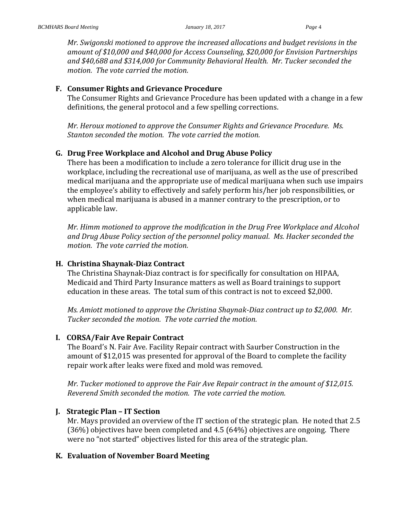*Mr. Swigonski motioned to approve the increased allocations and budget revisions in the amount of \$10,000 and \$40,000 for Access Counseling, \$20,000 for Envision Partnerships and \$40,688 and \$314,000 for Community Behavioral Health. Mr. Tucker seconded the motion. The vote carried the motion.*

## **F. Consumer Rights and Grievance Procedure**

The Consumer Rights and Grievance Procedure has been updated with a change in a few definitions, the general protocol and a few spelling corrections.

*Mr. Heroux motioned to approve the Consumer Rights and Grievance Procedure. Ms. Stanton seconded the motion. The vote carried the motion.*

## **G. Drug Free Workplace and Alcohol and Drug Abuse Policy**

There has been a modification to include a zero tolerance for illicit drug use in the workplace, including the recreational use of marijuana, as well as the use of prescribed medical marijuana and the appropriate use of medical marijuana when such use impairs the employee's ability to effectively and safely perform his/her job responsibilities, or when medical marijuana is abused in a manner contrary to the prescription, or to applicable law.

*Mr. Himm motioned to approve the modification in the Drug Free Workplace and Alcohol and Drug Abuse Policy section of the personnel policy manual. Ms. Hacker seconded the motion. The vote carried the motion.*

## **H. Christina Shaynak-Diaz Contract**

The Christina Shaynak-Diaz contract is for specifically for consultation on HIPAA, Medicaid and Third Party Insurance matters as well as Board trainings to support education in these areas. The total sum of this contract is not to exceed \$2,000.

*Ms. Amiott motioned to approve the Christina Shaynak-Diaz contract up to \$2,000. Mr. Tucker seconded the motion. The vote carried the motion.*

## **I. CORSA/Fair Ave Repair Contract**

The Board's N. Fair Ave. Facility Repair contract with Saurber Construction in the amount of \$12,015 was presented for approval of the Board to complete the facility repair work after leaks were fixed and mold was removed.

*Mr. Tucker motioned to approve the Fair Ave Repair contract in the amount of \$12,015. Reverend Smith seconded the motion. The vote carried the motion.*

## **J. Strategic Plan – IT Section**

Mr. Mays provided an overview of the IT section of the strategic plan. He noted that 2.5 (36%) objectives have been completed and 4.5 (64%) objectives are ongoing. There were no "not started" objectives listed for this area of the strategic plan.

## **K. Evaluation of November Board Meeting**